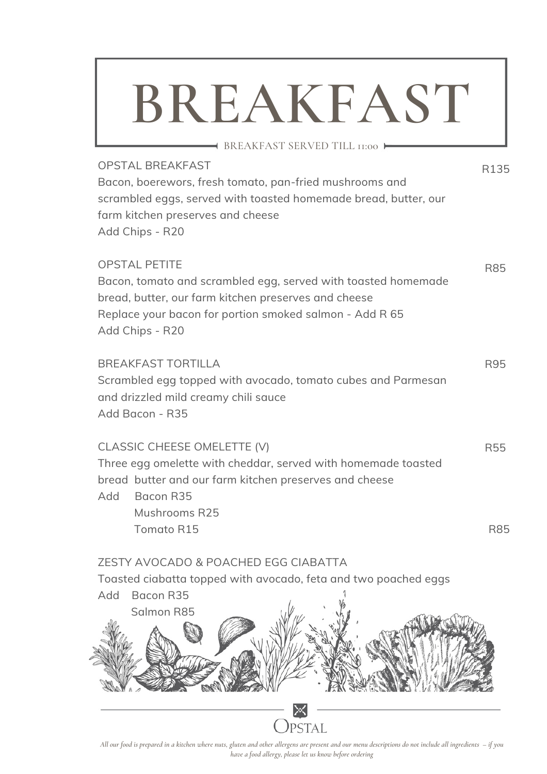## **BREAKFAST**

**BREAKFAST SERVED TILL II:00 ►** 

R135

| <b>OPSTAL BREAKFAST</b>                                         |
|-----------------------------------------------------------------|
| Bacon, boerewors, fresh tomato, pan-fried mushrooms and         |
| scrambled eggs, served with toasted homemade bread, butter, our |
| farm kitchen preserves and cheese                               |
| Add Chips - R20                                                 |
|                                                                 |

| <b>OPSTAL PETITE</b>                                          | <b>R85</b> |
|---------------------------------------------------------------|------------|
| Bacon, tomato and scrambled egg, served with toasted homemade |            |
| bread, butter, our farm kitchen preserves and cheese          |            |
| Replace your bacon for portion smoked salmon - Add R 65       |            |
| Add Chips - R20                                               |            |

| BREAKFAST TORTILLA                                           | R95 |
|--------------------------------------------------------------|-----|
| Scrambled egg topped with avocado, tomato cubes and Parmesan |     |
| and drizzled mild creamy chili sauce                         |     |
| Add Bacon - R35                                              |     |
|                                                              |     |

#### CLASSIC CHEESE OMELETTE (V) Three egg omelette with cheddar, served with homemade toasted bread butter and our farm kitchen preserves and cheese Add Bacon R35 Mushrooms R25 Tomato R15 R55 R85

#### ZESTY AVOCADO & POACHED EGG CIABATTA

Toasted ciabatta topped with avocado, feta and two poached eggs

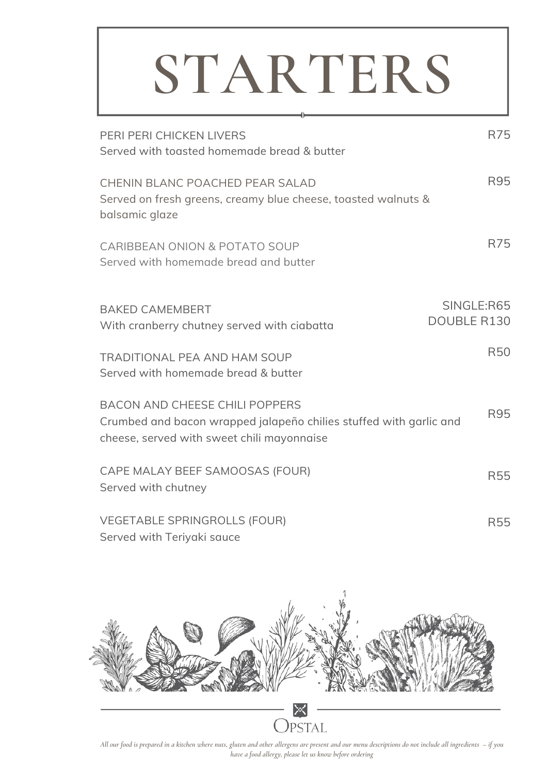## **STARTERS**

| PERI PERI CHICKEN LIVERS<br>Served with togsted homemade bread & butter                                                                                   | R75                              |
|-----------------------------------------------------------------------------------------------------------------------------------------------------------|----------------------------------|
| CHENIN BLANC POACHED PEAR SALAD<br>Served on fresh greens, creamy blue cheese, toasted walnuts &<br>balsamic glaze                                        | R95                              |
| <b>CARIBBEAN ONION &amp; POTATO SOUP</b><br>Served with homemade bread and butter                                                                         | R75                              |
| <b>BAKED CAMEMBERT</b><br>With cranberry chutney served with ciabatta                                                                                     | SINGLE:R65<br><b>DOUBLE R130</b> |
| <b>TRADITIONAL PEA AND HAM SOUP</b><br>Served with homemade bread & butter                                                                                | <b>R50</b>                       |
| <b>BACON AND CHEESE CHILI POPPERS</b><br>Crumbed and bacon wrapped jalapeño chilies stuffed with garlic and<br>cheese, served with sweet chili mayonnaise | R95                              |
| CAPE MALAY BEEF SAMOOSAS (FOUR)<br>Served with chutney                                                                                                    | <b>R55</b>                       |
| <b>VEGETABLE SPRINGROLLS (FOUR)</b><br>Served with Teriyaki sauce                                                                                         | <b>R55</b>                       |



All our food is prepared in a kitchen where nuts, gluten and other allergens are present and our menu descriptions do not include all ingredients – if you *have a food allergy, please let us know before ordering*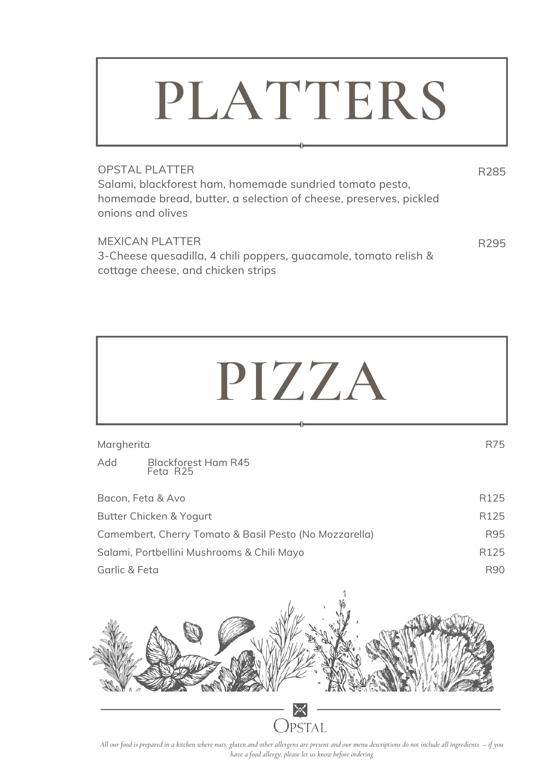### **PLATTERS**

| <b>OPSTAL PLATTER</b><br>Salami, blackforest ham, homemade sundried tomato pesto,<br>homemade bread, butter, a selection of cheese, preserves, pickled<br>onions and olives | R <sub>285</sub> |
|-----------------------------------------------------------------------------------------------------------------------------------------------------------------------------|------------------|
| <b>MEXICAN PLATTER</b><br>3-Cheese quesadilla 4 chili poppers quacamole tomato relish &                                                                                     | R <sub>295</sub> |

3-Cheese quesadilla, 4 chili poppers, guacamole, tomato relish & cottage cheese, and chicken strips

| PIZZA                                                  |                  |
|--------------------------------------------------------|------------------|
| Margherita                                             | R75              |
| Add<br><b>Blackforest Ham R45</b><br>Feta R25          |                  |
| Bacon, Feta & Avo                                      | R125             |
| Butter Chicken & Yogurt                                | R125             |
| Camembert, Cherry Tomato & Basil Pesto (No Mozzarella) | R95              |
| Salami, Portbellini Mushrooms & Chili Mayo             | R <sub>125</sub> |
| Garlic & Feta                                          | <b>R90</b>       |
|                                                        |                  |

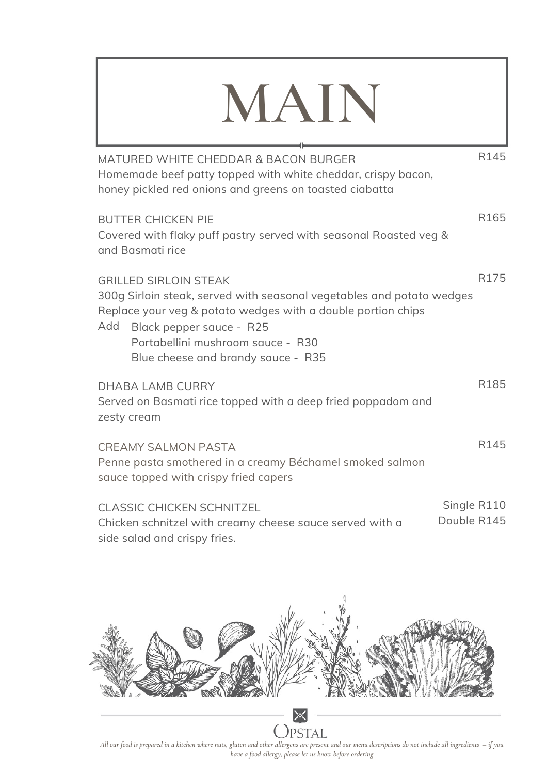### **MAIN**

MATURED WHITE CHEDDAR & BACON BURGER Homemade beef patty topped with white cheddar, crispy bacon, honey pickled red onions and greens on toasted ciabatta BUTTER CHICKEN PIE Covered with flaky puff pastry served with seasonal Roasted veg & and Basmati rice GRILLED SIRLOIN STEAK 300g Sirloin steak, served with seasonal vegetables and potato wedges Replace your veg & potato wedges with a double portion chips Add DHABA LAMB CURRY Served on Basmati rice topped with a deep fried poppadom and zesty cream CREAMY SALMON PASTA Penne pasta smothered in a creamy Béchamel smoked salmon sauce topped with crispy fried capers CLASSIC CHICKEN SCHNITZEL Chicken schnitzel with creamy cheese sauce served with a R145 R165 R175 R185 R145 Single R110 Double R145 Black pepper sauce - R25 Portabellini mushroom sauce - R30 Blue cheese and brandy sauce - R35



side salad and crispy fries.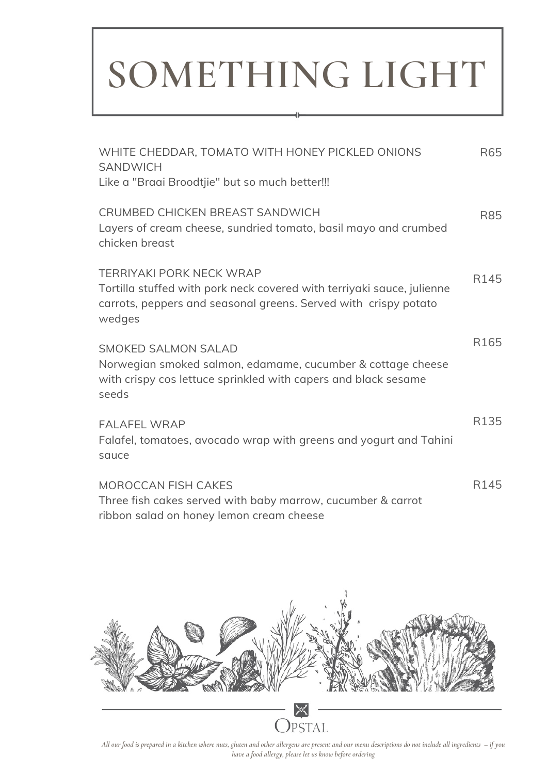### **SOMETHING LIGHT**

d

| WHITE CHEDDAR, TOMATO WITH HONEY PICKLED ONIONS<br><b>SANDWICH</b>                                                                                                                     | R65              |
|----------------------------------------------------------------------------------------------------------------------------------------------------------------------------------------|------------------|
| Like a "Braai Broodtjie" but so much better!!!                                                                                                                                         |                  |
| CRUMBED CHICKEN BREAST SANDWICH<br>Layers of cream cheese, sundried tomato, basil mayo and crumbed<br>chicken breast                                                                   | R85              |
| <b>TERRIYAKI PORK NECK WRAP</b><br>Tortilla stuffed with pork neck covered with terriyaki sauce, julienne<br>carrots, peppers and seasonal greens. Served with crispy potato<br>wedges | R145             |
| <b>SMOKED SALMON SALAD</b><br>Norwegian smoked salmon, edamame, cucumber & cottage cheese<br>with crispy cos lettuce sprinkled with capers and black sesame<br>seeds                   | R <sub>165</sub> |
| <b>FALAFEL WRAP</b><br>Falafel, tomatoes, avocado wrap with greens and yogurt and Tahini<br>sauce                                                                                      | R135             |
| <b>MOROCCAN FISH CAKES</b><br>Three fish cakes served with baby marrow, cucumber & carrot<br>ribbon salad on honey lemon cream cheese                                                  | R145             |

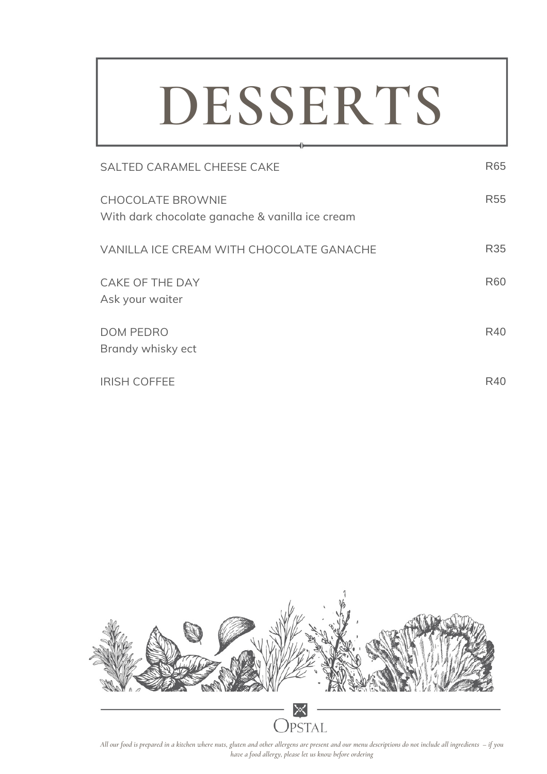## **DESSERTS**

| SALTED CARAMEL CHEESE CAKE                                                  | R65             |
|-----------------------------------------------------------------------------|-----------------|
| <b>CHOCOLATE BROWNIE</b><br>With dark chocolate ganache & vanilla ice cream | R <sub>55</sub> |
| VANILLA ICE CREAM WITH CHOCOLATE GANACHE                                    | R35             |
| <b>CAKE OF THE DAY</b><br>Ask your waiter                                   | <b>R60</b>      |
| <b>DOM PEDRO</b><br>Brandy whisky ect                                       | R40             |
| <b>IRISH COFFEE</b>                                                         | R40             |



All our food is prepared in a kitchen where nuts, gluten and other allergens are present and our menu descriptions do not include all ingredients – if you *have a food allergy, please let us know before ordering*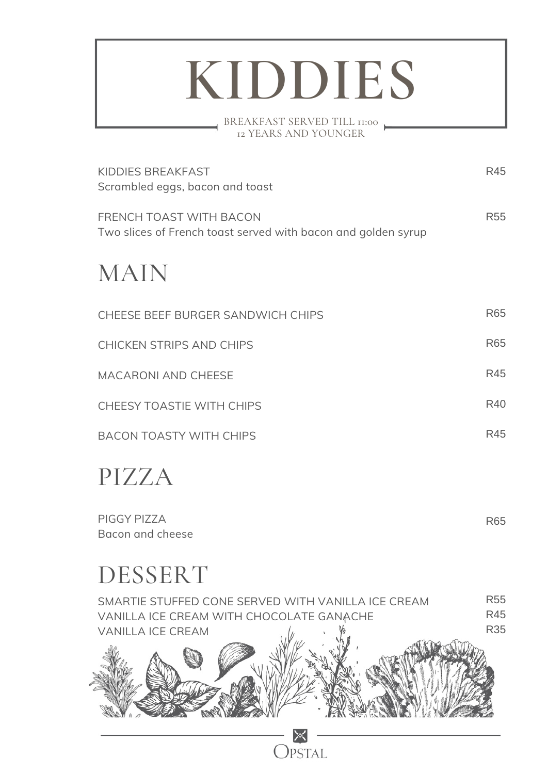## **KIDDIES**

BREAKFAST SERVED TILL 11:00 12 YEARS AND YOUNGER

| KIDDIES BREAKFAST<br>Scrambled eggs, bacon and toast                                     | R45             |
|------------------------------------------------------------------------------------------|-----------------|
| FRENCH TOAST WITH BACON<br>Two slices of French toast served with bacon and golden syrup | <b>R55</b>      |
| MAIN                                                                                     |                 |
| CHEESE BEEF BURGER SANDWICH CHIPS                                                        | R65             |
| <b>CHICKEN STRIPS AND CHIPS</b>                                                          | R <sub>65</sub> |
| <b>MACARONI AND CHEESE</b>                                                               | R45             |
| CHEESY TOASTIE WITH CHIPS                                                                | R40             |
| <b>BACON TOASTY WITH CHIPS</b>                                                           | R45             |

### PIZZA

PIGGY PIZZA Bacon and cheese

### DESSERT

| SMARTIE STUFFED CONE SERVED WITH VANILLA ICE CREAM<br>VANILLA ICE CREAM WITH CHOCOLATE GANACHE | <b>R55</b><br><b>R45</b> |
|------------------------------------------------------------------------------------------------|--------------------------|
| <b>VANILLA ICE CREAM</b>                                                                       | <b>R35</b>               |
|                                                                                                |                          |
|                                                                                                |                          |
|                                                                                                |                          |

R65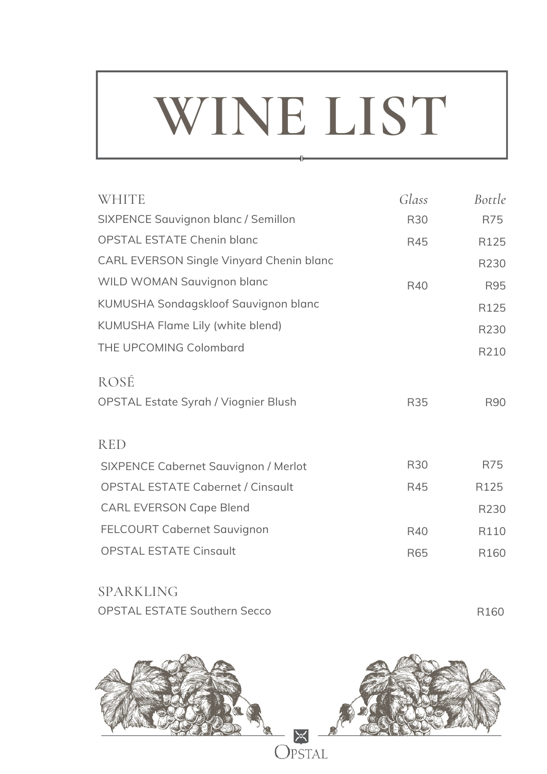## **WINE LIST**

| <b>WHITE</b>                                | Glass      | Bottle     |
|---------------------------------------------|------------|------------|
| SIXPENCE Sauvignon blanc / Semillon         | <b>R30</b> | R75        |
| <b>OPSTAL ESTATE Chenin blanc</b>           | <b>R45</b> | R125       |
| CARL EVERSON Single Vinyard Chenin blanc    |            | R230       |
| WILD WOMAN Sauvignon blanc                  | R40        | R95        |
| KUMUSHA Sondagskloof Sauvignon blanc        |            | R125       |
| KUMUSHA Flame Lily (white blend)            |            | R230       |
| THE UPCOMING Colombard                      |            | R210       |
| ROSÉ                                        |            |            |
| <b>OPSTAL Estate Syrah / Viognier Blush</b> | <b>R35</b> | <b>R90</b> |
| <b>RED</b>                                  |            |            |
| <b>SIXPENCE Cabernet Sauvignon / Merlot</b> | <b>R30</b> | R75        |
| <b>OPSTAL ESTATE Cabernet / Cinsault</b>    | R45        | R125       |
| <b>CARL EVERSON Cape Blend</b>              |            | R230       |
| <b>FELCOURT Cabernet Sauvignon</b>          | R40        | R110       |
| <b>OPSTAL ESTATE Cinsqult</b>               | <b>R65</b> | R160       |
|                                             |            |            |

| <b>SPARKLING</b>                    |                  |
|-------------------------------------|------------------|
| <b>OPSTAL ESTATE Southern Secco</b> | R <sub>160</sub> |

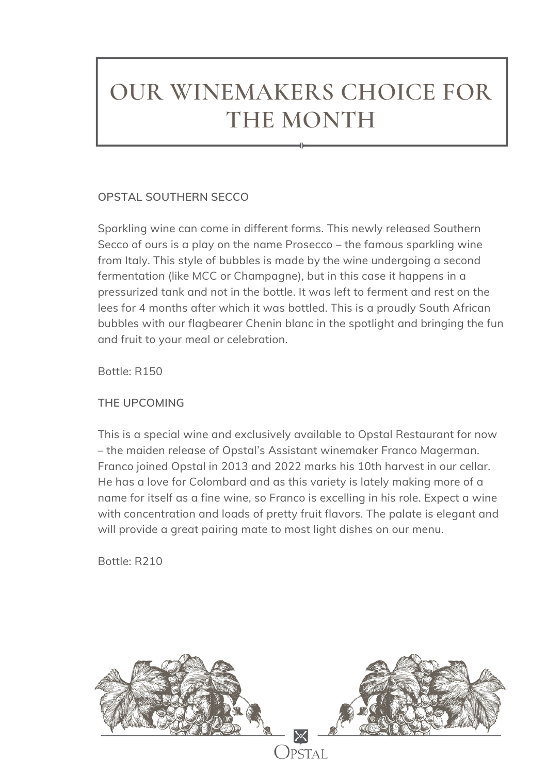### **OUR WINEMAKERS CHOICE FOR THE MONTH**

### **OPSTAL SOUTHERN SECCO**

Sparkling wine can come in different forms. This newly released Southern Secco of ours is a play on the name Prosecco – the famous sparkling wine from Italy. This style of bubbles is made by the wine undergoing a second fermentation (like MCC or Champagne), but in this case it happens in a pressurized tank and not in the bottle. It was left to ferment and rest on the lees for 4 months after which it was bottled. This is a proudly South African bubbles with our flagbearer Chenin blanc in the spotlight and bringing the fun and fruit to your meal or celebration.

Bottle: R150

**THE UPCOMING**

This is a special wine and exclusively available to Opstal Restaurant for now – the maiden release of Opstal's Assistant winemaker Franco Magerman. Franco joined Opstal in 2013 and 2022 marks his 10th harvest in our cellar. He has a love for Colombard and as this variety is lately making more of a name for itself as a fine wine, so Franco is excelling in his role. Expect a wine with concentration and loads of pretty fruit flavors. The palate is elegant and will provide a great pairing mate to most light dishes on our menu.

Bottle: R210

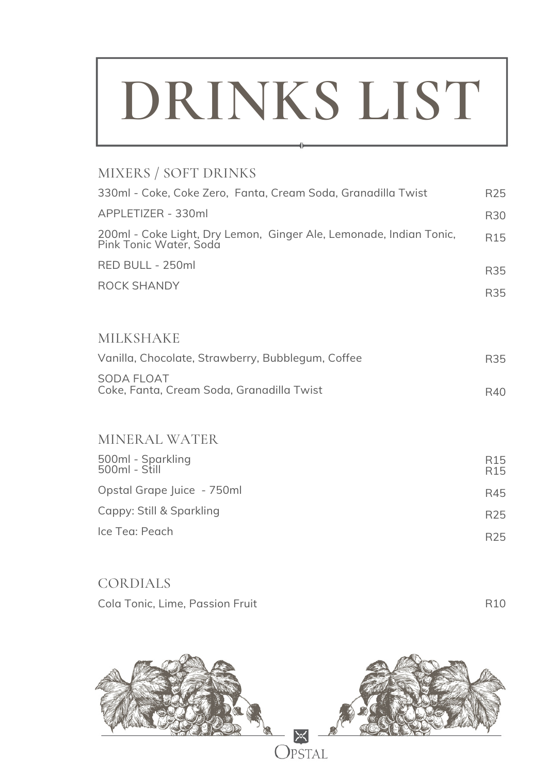## **DRINKS LIST**

### MIXERS / SOFT DRINKS

| 330ml - Coke, Coke Zero, Fanta, Cream Soda, Granadilla Twist                                 | R <sub>25</sub>        |
|----------------------------------------------------------------------------------------------|------------------------|
| APPLETIZER - 330ml                                                                           | R30                    |
| 200ml - Coke Light, Dry Lemon, Ginger Ale, Lemonade, Indian Tonic,<br>Pink Tonic Water, Soda | R <sub>15</sub>        |
| RED BULL - 250ml                                                                             | R35                    |
| ROCK SHANDY                                                                                  | R35                    |
| <b>MILKSHAKE</b>                                                                             |                        |
| Vanilla, Chocolate, Strawberry, Bubblegum, Coffee                                            | R35                    |
| <b>SODA FLOAT</b><br>Coke, Fanta, Cream Soda, Granadilla Twist                               | R40                    |
| <b>MINERAL WATER</b>                                                                         |                        |
| 500ml - Sparkling<br>500ml - Still                                                           | R <sub>15</sub><br>R15 |

R45 R25 R25 Opstal Grape Juice - 750ml Cappy: Still & Sparkling Ice Tea: Peach

R10 CORDIALS Cola Tonic, Lime, Passion Fruit

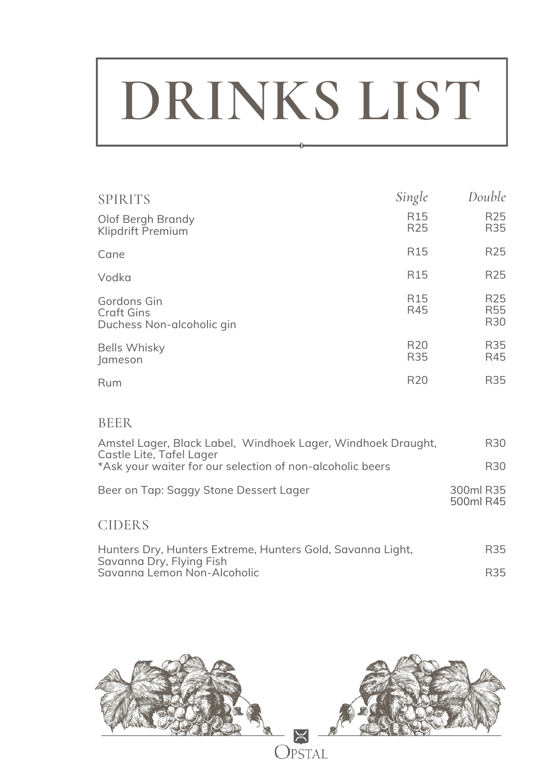# **DRINKS LIST**

| <b>SPIRITS</b>                                                | Single                             | Double                                    |
|---------------------------------------------------------------|------------------------------------|-------------------------------------------|
| Olof Bergh Brandy<br>Klipdrift Premium                        | R <sub>15</sub><br>R <sub>25</sub> | R <sub>25</sub><br>R35                    |
| Cane                                                          | R <sub>15</sub>                    | R <sub>25</sub>                           |
| Vodka                                                         | R <sub>15</sub>                    | R <sub>25</sub>                           |
| Gordons Gin<br><b>Craft Gins</b><br>Duchess Non-alcoholic gin | R <sub>15</sub><br>R45             | R <sub>25</sub><br>R <sub>55</sub><br>R30 |
| <b>Bells Whisky</b><br>Jameson                                | R <sub>20</sub><br><b>R35</b>      | R35<br>R45                                |
| Rum                                                           | R <sub>20</sub>                    | R35                                       |

#### BEER

| Amstel Lager, Black Label, Windhoek Lager, Windhoek Draught,<br>Castle Lite, Tafel Lager | R <sub>30</sub>        |
|------------------------------------------------------------------------------------------|------------------------|
| *Ask your waiter for our selection of non-alcoholic beers                                | R30                    |
| Beer on Tap: Saggy Stone Dessert Lager                                                   | 300ml R35<br>500ml R45 |
| <b>CIDERS</b>                                                                            |                        |

| Hunters Dry, Hunters Extreme, Hunters Gold, Savanna Light, | R35 |
|------------------------------------------------------------|-----|
| Savanna Dry, Flying Fish                                   |     |
| Savanna Lemon Non-Alcoholic                                | R35 |